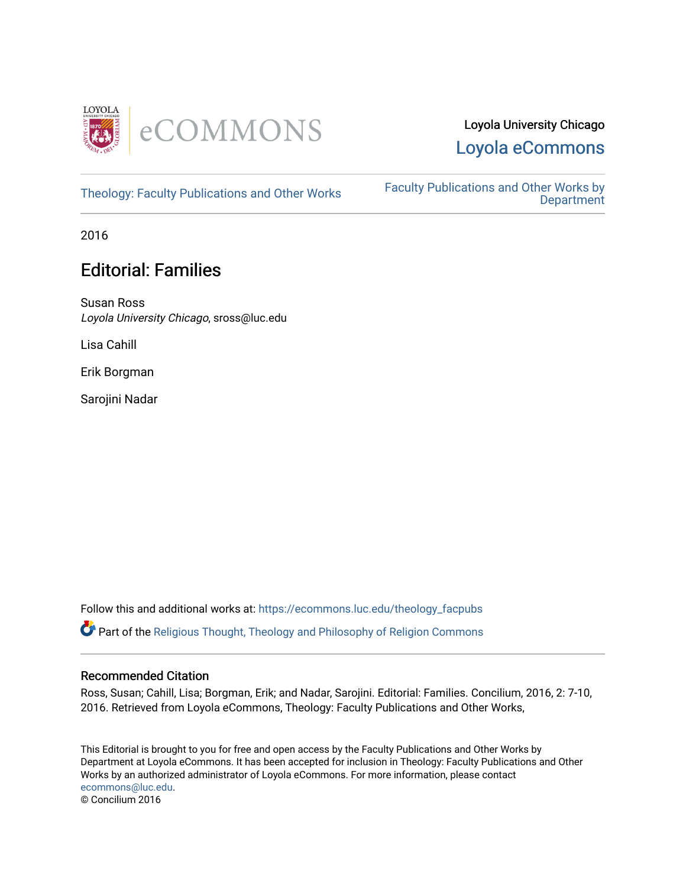

# Loyola University Chicago [Loyola eCommons](https://ecommons.luc.edu/)

[Theology: Faculty Publications and Other Works](https://ecommons.luc.edu/theology_facpubs) Faculty Publications and Other Works by **Department** 

2016

# Editorial: Families

Susan Ross Loyola University Chicago, sross@luc.edu

Lisa Cahill

Erik Borgman

Sarojini Nadar

Follow this and additional works at: [https://ecommons.luc.edu/theology\\_facpubs](https://ecommons.luc.edu/theology_facpubs?utm_source=ecommons.luc.edu%2Ftheology_facpubs%2F90&utm_medium=PDF&utm_campaign=PDFCoverPages)

Part of the [Religious Thought, Theology and Philosophy of Religion Commons](http://network.bepress.com/hgg/discipline/544?utm_source=ecommons.luc.edu%2Ftheology_facpubs%2F90&utm_medium=PDF&utm_campaign=PDFCoverPages) 

### Recommended Citation

Ross, Susan; Cahill, Lisa; Borgman, Erik; and Nadar, Sarojini. Editorial: Families. Concilium, 2016, 2: 7-10, 2016. Retrieved from Loyola eCommons, Theology: Faculty Publications and Other Works,

This Editorial is brought to you for free and open access by the Faculty Publications and Other Works by Department at Loyola eCommons. It has been accepted for inclusion in Theology: Faculty Publications and Other Works by an authorized administrator of Loyola eCommons. For more information, please contact [ecommons@luc.edu](mailto:ecommons@luc.edu). © Concilium 2016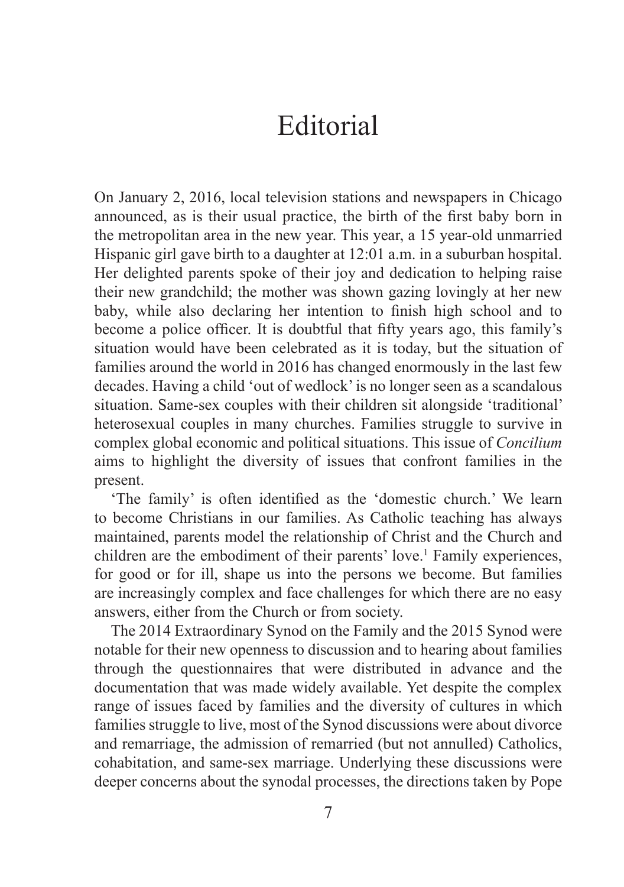On January 2, 2016, local television stations and newspapers in Chicago announced, as is their usual practice, the birth of the first baby born in the metropolitan area in the new year. This year, a 15 year-old unmarried Hispanic girl gave birth to a daughter at 12:01 a.m. in a suburban hospital. Her delighted parents spoke of their joy and dedication to helping raise their new grandchild; the mother was shown gazing lovingly at her new baby, while also declaring her intention to finish high school and to become a police officer. It is doubtful that fifty years ago, this family's situation would have been celebrated as it is today, but the situation of families around the world in 2016 has changed enormously in the last few decades. Having a child 'out of wedlock' is no longer seen as a scandalous situation. Same-sex couples with their children sit alongside 'traditional' heterosexual couples in many churches. Families struggle to survive in complex global economic and political situations. This issue of *Concilium*  aims to highlight the diversity of issues that confront families in the present.

'The family' is often identified as the 'domestic church.' We learn to become Christians in our families. As Catholic teaching has always maintained, parents model the relationship of Christ and the Church and children are the embodiment of their parents' love.<sup>1</sup> Family experiences, for good or for ill, shape us into the persons we become. But families are increasingly complex and face challenges for which there are no easy answers, either from the Church or from society.

The 2014 Extraordinary Synod on the Family and the 2015 Synod were notable for their new openness to discussion and to hearing about families through the questionnaires that were distributed in advance and the documentation that was made widely available. Yet despite the complex range of issues faced by families and the diversity of cultures in which families struggle to live, most of the Synod discussions were about divorce and remarriage, the admission of remarried (but not annulled) Catholics, cohabitation, and same-sex marriage. Underlying these discussions were deeper concerns about the synodal processes, the directions taken by Pope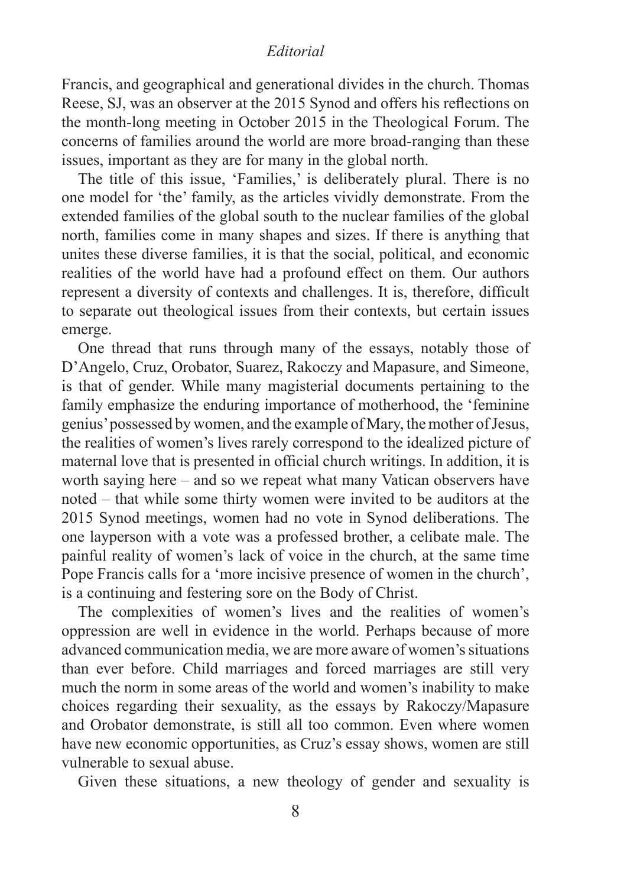Francis, and geographical and generational divides in the church. Thomas Reese, SJ, was an observer at the 2015 Synod and offers his reflections on the month-long meeting in October 2015 in the Theological Forum. The concerns of families around the world are more broad-ranging than these issues, important as they are for many in the global north.

The title of this issue, 'Families,' is deliberately plural. There is no one model for 'the' family, as the articles vividly demonstrate. From the extended families of the global south to the nuclear families of the global north, families come in many shapes and sizes. If there is anything that unites these diverse families, it is that the social, political, and economic realities of the world have had a profound effect on them. Our authors represent a diversity of contexts and challenges. It is, therefore, difficult to separate out theological issues from their contexts, but certain issues emerge.

One thread that runs through many of the essays, notably those of D'Angelo, Cruz, Orobator, Suarez, Rakoczy and Mapasure, and Simeone, is that of gender. While many magisterial documents pertaining to the family emphasize the enduring importance of motherhood, the 'feminine genius' possessed by women, and the example of Mary, the mother of Jesus, the realities of women's lives rarely correspond to the idealized picture of maternal love that is presented in official church writings. In addition, it is worth saying here – and so we repeat what many Vatican observers have noted – that while some thirty women were invited to be auditors at the 2015 Synod meetings, women had no vote in Synod deliberations. The one layperson with a vote was a professed brother, a celibate male. The painful reality of women's lack of voice in the church, at the same time Pope Francis calls for a 'more incisive presence of women in the church', is a continuing and festering sore on the Body of Christ.

The complexities of women's lives and the realities of women's oppression are well in evidence in the world. Perhaps because of more advanced communication media, we are more aware of women's situations than ever before. Child marriages and forced marriages are still very much the norm in some areas of the world and women's inability to make choices regarding their sexuality, as the essays by Rakoczy/Mapasure and Orobator demonstrate, is still all too common. Even where women have new economic opportunities, as Cruz's essay shows, women are still vulnerable to sexual abuse.

Given these situations, a new theology of gender and sexuality is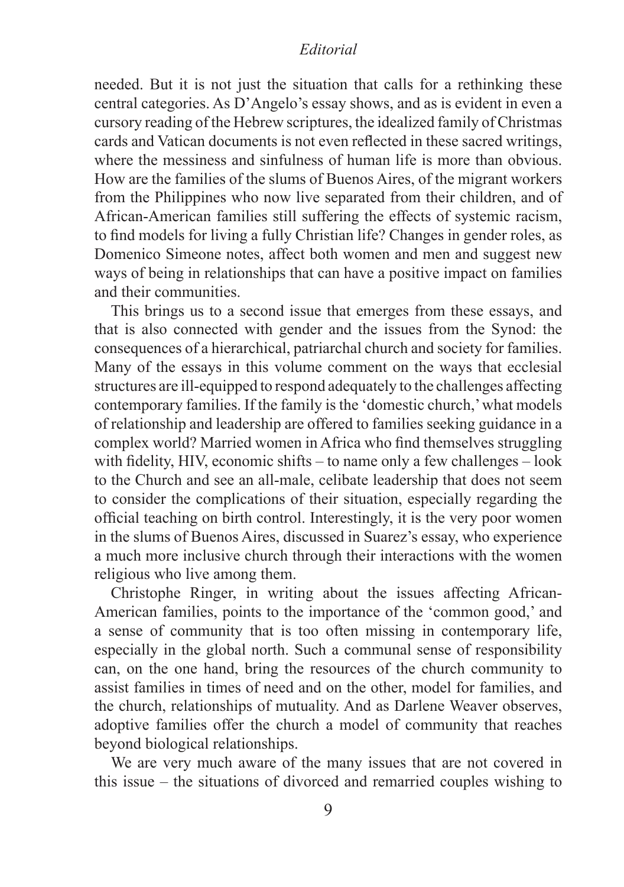needed. But it is not just the situation that calls for a rethinking these central categories. As D'Angelo's essay shows, and as is evident in even a cursory reading of the Hebrew scriptures, the idealized family of Christmas cards and Vatican documents is not even reflected in these sacred writings, where the messiness and sinfulness of human life is more than obvious. How are the families of the slums of Buenos Aires, of the migrant workers from the Philippines who now live separated from their children, and of African-American families still suffering the effects of systemic racism, to find models for living a fully Christian life? Changes in gender roles, as Domenico Simeone notes, affect both women and men and suggest new ways of being in relationships that can have a positive impact on families and their communities.

This brings us to a second issue that emerges from these essays, and that is also connected with gender and the issues from the Synod: the consequences of a hierarchical, patriarchal church and society for families. Many of the essays in this volume comment on the ways that ecclesial structures are ill-equipped to respond adequately to the challenges affecting contemporary families. If the family is the 'domestic church,' what models of relationship and leadership are offered to families seeking guidance in a complex world? Married women in Africa who find themselves struggling with fidelity, HIV, economic shifts – to name only a few challenges – look to the Church and see an all-male, celibate leadership that does not seem to consider the complications of their situation, especially regarding the official teaching on birth control. Interestingly, it is the very poor women in the slums of Buenos Aires, discussed in Suarez's essay, who experience a much more inclusive church through their interactions with the women religious who live among them.

Christophe Ringer, in writing about the issues affecting African-American families, points to the importance of the 'common good,' and a sense of community that is too often missing in contemporary life, especially in the global north. Such a communal sense of responsibility can, on the one hand, bring the resources of the church community to assist families in times of need and on the other, model for families, and the church, relationships of mutuality. And as Darlene Weaver observes, adoptive families offer the church a model of community that reaches beyond biological relationships.

We are very much aware of the many issues that are not covered in this issue – the situations of divorced and remarried couples wishing to